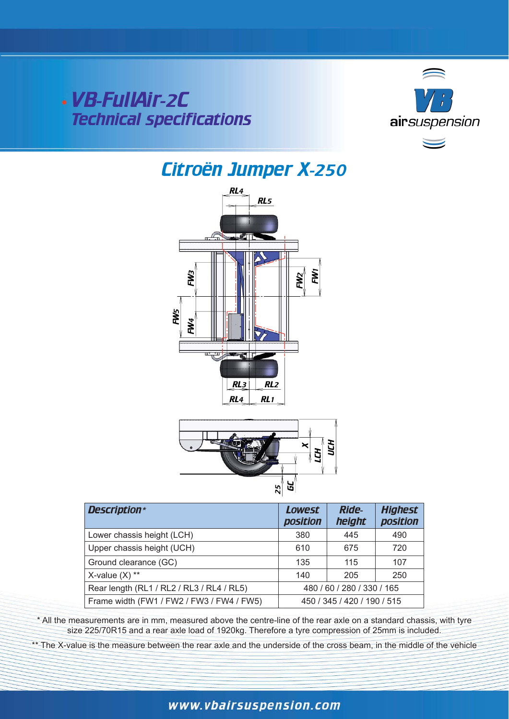VB-FullAir-2C Technical specifications



# Citroën Jumper X-250





| <b>Description*</b>                       | <b>Lowest</b><br><b>position</b> | <b>Ride-</b><br>height | <b>Highest</b><br><b>position</b> |
|-------------------------------------------|----------------------------------|------------------------|-----------------------------------|
| Lower chassis height (LCH)                | 380                              | 445                    | 490                               |
| Upper chassis height (UCH)                | 610                              | 675                    | 720                               |
| Ground clearance (GC)                     | 135                              | 115                    | 107                               |
| X-value $(X)$ **                          | 140                              | 205                    | 250                               |
| Rear length (RL1 / RL2 / RL3 / RL4 / RL5) | 480 / 60 / 280 / 330 / 165       |                        |                                   |
| Frame width (FW1 / FW2 / FW3 / FW4 / FW5) | 450 / 345 / 420 / 190 / 515      |                        |                                   |

\* All the measurements are in mm, measured above the centre-line of the rear axle on a standard chassis, with tyre size 225/70R15 and a rear axle load of 1920kg. Therefore a tyre compression of 25mm is included.

\*\* The X-value is the measure between the rear axle and the underside of the cross beam, in the middle of the vehicle

# www.vbairsuspension.com